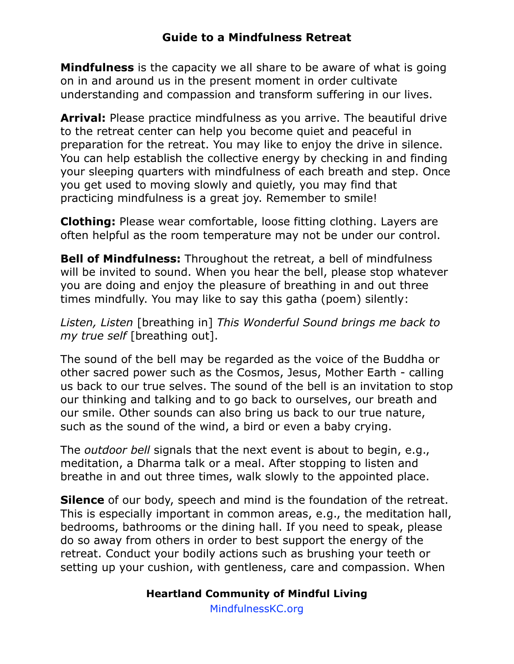**Mindfulness** is the capacity we all share to be aware of what is going on in and around us in the present moment in order cultivate understanding and compassion and transform suffering in our lives.

**Arrival:** Please practice mindfulness as you arrive. The beautiful drive to the retreat center can help you become quiet and peaceful in preparation for the retreat. You may like to enjoy the drive in silence. You can help establish the collective energy by checking in and finding your sleeping quarters with mindfulness of each breath and step. Once you get used to moving slowly and quietly, you may find that practicing mindfulness is a great joy. Remember to smile!

**Clothing:** Please wear comfortable, loose fitting clothing. Layers are often helpful as the room temperature may not be under our control.

**Bell of Mindfulness:** Throughout the retreat, a bell of mindfulness will be invited to sound. When you hear the bell, please stop whatever you are doing and enjoy the pleasure of breathing in and out three times mindfully. You may like to say this gatha (poem) silently:

*Listen, Listen* [breathing in] *This Wonderful Sound brings me back to my true self* [breathing out].

The sound of the bell may be regarded as the voice of the Buddha or other sacred power such as the Cosmos, Jesus, Mother Earth - calling us back to our true selves. The sound of the bell is an invitation to stop our thinking and talking and to go back to ourselves, our breath and our smile. Other sounds can also bring us back to our true nature, such as the sound of the wind, a bird or even a baby crying.

The *outdoor bell* signals that the next event is about to begin, e.g., meditation, a Dharma talk or a meal. After stopping to listen and breathe in and out three times, walk slowly to the appointed place.

**Silence** of our body, speech and mind is the foundation of the retreat. This is especially important in common areas, e.g., the meditation hall, bedrooms, bathrooms or the dining hall. If you need to speak, please do so away from others in order to best support the energy of the retreat. Conduct your bodily actions such as brushing your teeth or setting up your cushion, with gentleness, care and compassion. When

## **Heartland Community of Mindful Living**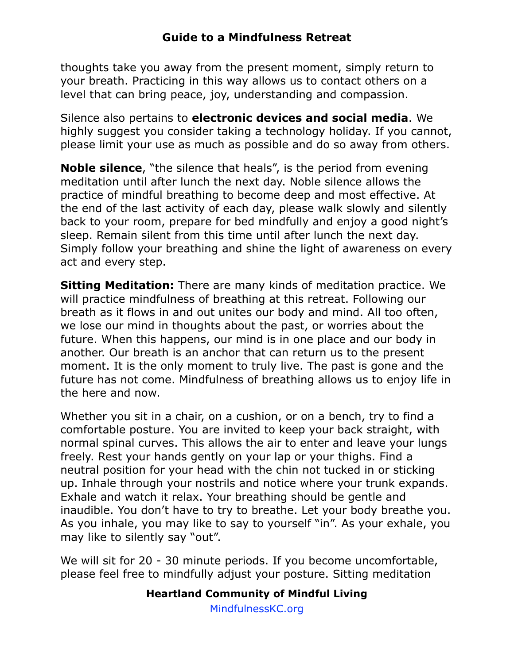thoughts take you away from the present moment, simply return to your breath. Practicing in this way allows us to contact others on a level that can bring peace, joy, understanding and compassion.

Silence also pertains to **electronic devices and social media**. We highly suggest you consider taking a technology holiday. If you cannot, please limit your use as much as possible and do so away from others.

**Noble silence**, "the silence that heals", is the period from evening meditation until after lunch the next day. Noble silence allows the practice of mindful breathing to become deep and most effective. At the end of the last activity of each day, please walk slowly and silently back to your room, prepare for bed mindfully and enjoy a good night's sleep. Remain silent from this time until after lunch the next day. Simply follow your breathing and shine the light of awareness on every act and every step.

**Sitting Meditation:** There are many kinds of meditation practice. We will practice mindfulness of breathing at this retreat. Following our breath as it flows in and out unites our body and mind. All too often, we lose our mind in thoughts about the past, or worries about the future. When this happens, our mind is in one place and our body in another. Our breath is an anchor that can return us to the present moment. It is the only moment to truly live. The past is gone and the future has not come. Mindfulness of breathing allows us to enjoy life in the here and now.

Whether you sit in a chair, on a cushion, or on a bench, try to find a comfortable posture. You are invited to keep your back straight, with normal spinal curves. This allows the air to enter and leave your lungs freely. Rest your hands gently on your lap or your thighs. Find a neutral position for your head with the chin not tucked in or sticking up. Inhale through your nostrils and notice where your trunk expands. Exhale and watch it relax. Your breathing should be gentle and inaudible. You don't have to try to breathe. Let your body breathe you. As you inhale, you may like to say to yourself "in". As your exhale, you may like to silently say "out".

We will sit for 20 - 30 minute periods. If you become uncomfortable, please feel free to mindfully adjust your posture. Sitting meditation

#### **Heartland Community of Mindful Living**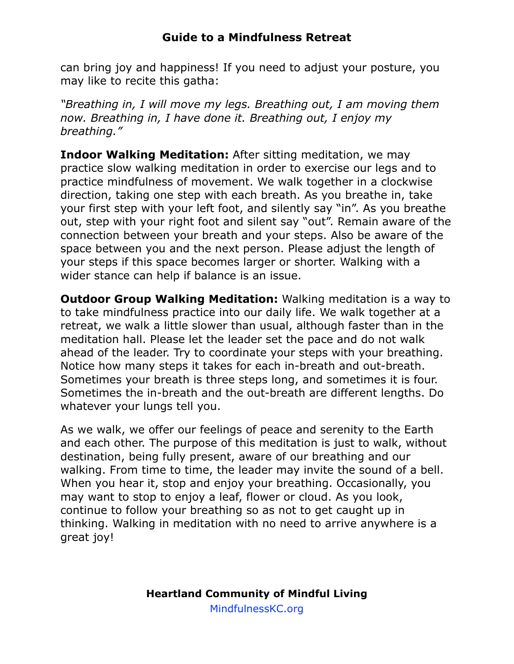can bring joy and happiness! If you need to adjust your posture, you may like to recite this gatha:

*"Breathing in, I will move my legs. Breathing out, I am moving them now. Breathing in, I have done it. Breathing out, I enjoy my breathing."*

**Indoor Walking Meditation:** After sitting meditation, we may practice slow walking meditation in order to exercise our legs and to practice mindfulness of movement. We walk together in a clockwise direction, taking one step with each breath. As you breathe in, take your first step with your left foot, and silently say "in". As you breathe out, step with your right foot and silent say "out". Remain aware of the connection between your breath and your steps. Also be aware of the space between you and the next person. Please adjust the length of your steps if this space becomes larger or shorter. Walking with a wider stance can help if balance is an issue.

**Outdoor Group Walking Meditation:** Walking meditation is a way to to take mindfulness practice into our daily life. We walk together at a retreat, we walk a little slower than usual, although faster than in the meditation hall. Please let the leader set the pace and do not walk ahead of the leader. Try to coordinate your steps with your breathing. Notice how many steps it takes for each in-breath and out-breath. Sometimes your breath is three steps long, and sometimes it is four. Sometimes the in-breath and the out-breath are different lengths. Do whatever your lungs tell you.

As we walk, we offer our feelings of peace and serenity to the Earth and each other. The purpose of this meditation is just to walk, without destination, being fully present, aware of our breathing and our walking. From time to time, the leader may invite the sound of a bell. When you hear it, stop and enjoy your breathing. Occasionally, you may want to stop to enjoy a leaf, flower or cloud. As you look, continue to follow your breathing so as not to get caught up in thinking. Walking in meditation with no need to arrive anywhere is a great joy!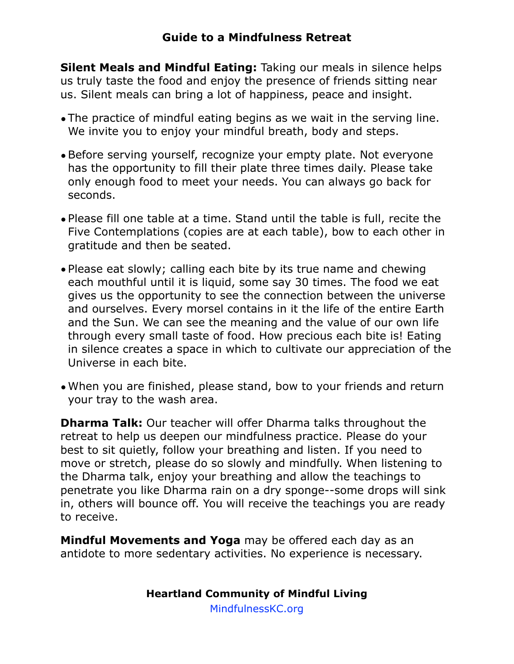**Silent Meals and Mindful Eating:** Taking our meals in silence helps us truly taste the food and enjoy the presence of friends sitting near us. Silent meals can bring a lot of happiness, peace and insight.

- •The practice of mindful eating begins as we wait in the serving line. We invite you to enjoy your mindful breath, body and steps.
- •Before serving yourself, recognize your empty plate. Not everyone has the opportunity to fill their plate three times daily. Please take only enough food to meet your needs. You can always go back for seconds.
- •Please fill one table at a time. Stand until the table is full, recite the Five Contemplations (copies are at each table), bow to each other in gratitude and then be seated.
- •Please eat slowly; calling each bite by its true name and chewing each mouthful until it is liquid, some say 30 times. The food we eat gives us the opportunity to see the connection between the universe and ourselves. Every morsel contains in it the life of the entire Earth and the Sun. We can see the meaning and the value of our own life through every small taste of food. How precious each bite is! Eating in silence creates a space in which to cultivate our appreciation of the Universe in each bite.
- •When you are finished, please stand, bow to your friends and return your tray to the wash area.

**Dharma Talk:** Our teacher will offer Dharma talks throughout the retreat to help us deepen our mindfulness practice. Please do your best to sit quietly, follow your breathing and listen. If you need to move or stretch, please do so slowly and mindfully. When listening to the Dharma talk, enjoy your breathing and allow the teachings to penetrate you like Dharma rain on a dry sponge--some drops will sink in, others will bounce off. You will receive the teachings you are ready to receive.

**Mindful Movements and Yoga** may be offered each day as an antidote to more sedentary activities. No experience is necessary.

### **Heartland Community of Mindful Living**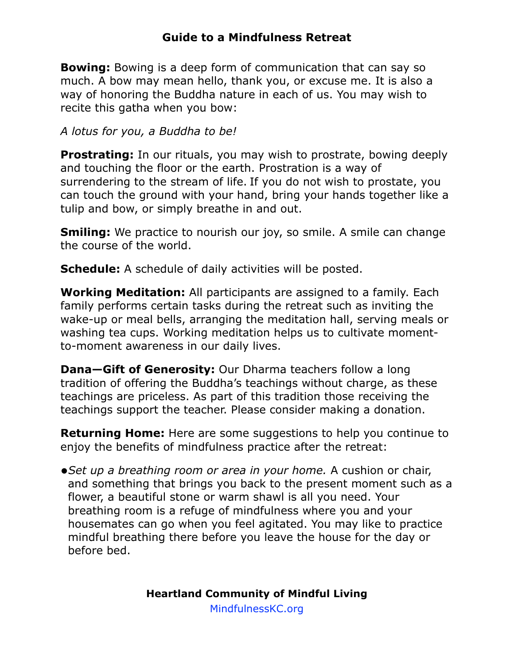**Bowing:** Bowing is a deep form of communication that can say so much. A bow may mean hello, thank you, or excuse me. It is also a way of honoring the Buddha nature in each of us. You may wish to recite this gatha when you bow:

*A lotus for you, a Buddha to be!*

**Prostrating:** In our rituals, you may wish to prostrate, bowing deeply and touching the floor or the earth. Prostration is a way of surrendering to the stream of life. If you do not wish to prostate, you can touch the ground with your hand, bring your hands together like a tulip and bow, or simply breathe in and out.

**Smiling:** We practice to nourish our joy, so smile. A smile can change the course of the world.

**Schedule:** A schedule of daily activities will be posted.

**Working Meditation:** All participants are assigned to a family. Each family performs certain tasks during the retreat such as inviting the wake-up or meal bells, arranging the meditation hall, serving meals or washing tea cups. Working meditation helps us to cultivate momentto-moment awareness in our daily lives.

**Dana-Gift of Generosity:** Our Dharma teachers follow a long tradition of offering the Buddha's teachings without charge, as these teachings are priceless. As part of this tradition those receiving the teachings support the teacher. Please consider making a donation.

**Returning Home:** Here are some suggestions to help you continue to enjoy the benefits of mindfulness practice after the retreat:

**•***Set up a breathing room or area in your home.* A cushion or chair, and something that brings you back to the present moment such as a flower, a beautiful stone or warm shawl is all you need. Your breathing room is a refuge of mindfulness where you and your housemates can go when you feel agitated. You may like to practice mindful breathing there before you leave the house for the day or before bed.